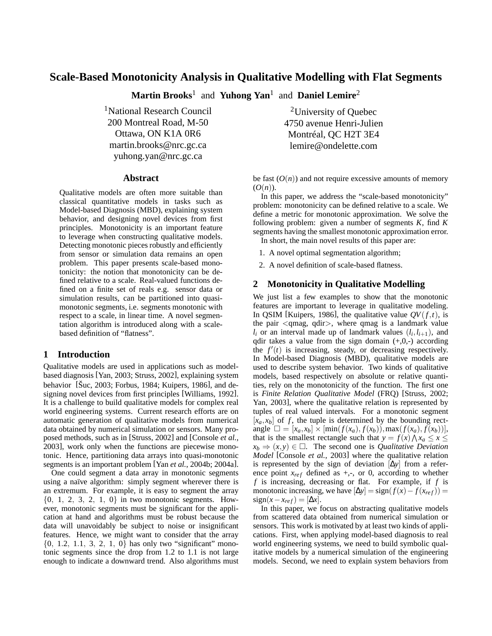# **Scale-Based Monotonicity Analysis in Qualitative Modelling with Flat Segments**

**Martin Brooks**<sup>1</sup> and **Yuhong Yan**<sup>1</sup> and **Daniel Lemire**<sup>2</sup>

<sup>1</sup>National Research Council 200 Montreal Road, M-50 Ottawa, ON K1A 0R6 martin.brooks@nrc.gc.ca yuhong.yan@nrc.gc.ca

### **Abstract**

Qualitative models are often more suitable than classical quantitative models in tasks such as Model-based Diagnosis (MBD), explaining system behavior, and designing novel devices from first principles. Monotonicity is an important feature to leverage when constructing qualitative models. Detecting monotonic pieces robustly and efficiently from sensor or simulation data remains an open problem. This paper presents scale-based monotonicity: the notion that monotonicity can be defined relative to a scale. Real-valued functions defined on a finite set of reals e.g. sensor data or simulation results, can be partitioned into quasimonotonic segments, i.e. segments monotonic with respect to a scale, in linear time. A novel segmentation algorithm is introduced along with a scalebased definition of "flatness".

# **1 Introduction**

Qualitative models are used in applications such as modelbased diagnosis [Yan, 2003; Struss, 2002], explaining system behavior [Šuc, 2003; Forbus, 1984; Kuipers, 1986], and designing novel devices from first principles [Williams, 1992]. It is a challenge to build qualitative models for complex real world engineering systems. Current research efforts are on automatic generation of qualitative models from numerical data obtained by numerical simulation or sensors. Many proposed methods, such as in [Struss, 2002] and [Console *et al.*, 2003], work only when the functions are piecewise monotonic. Hence, partitioning data arrays into quasi-monotonic segments is an important problem [Yan *et al.*, 2004b; 2004a].

One could segment a data array in monotonic segments using a naïve algorithm: simply segment wherever there is an extremum. For example, it is easy to segment the array  $\{0, 1, 2, 3, 2, 1, 0\}$  in two monotonic segments. However, monotonic segments must be significant for the application at hand and algorithms must be robust because the data will unavoidably be subject to noise or insignificant features. Hence, we might want to consider that the array  ${0, 1.2, 1.1, 3, 2, 1, 0}$  has only two "significant" monotonic segments since the drop from 1.2 to 1.1 is not large enough to indicate a downward trend. Also algorithms must

<sup>2</sup>University of Quebec 4750 avenue Henri-Julien Montréal, QC H2T 3E4 lemire@ondelette.com

be fast  $(O(n))$  and not require excessive amounts of memory  $(O(n)).$ 

In this paper, we address the "scale-based monotonicity" problem: monotonicity can be defined relative to a scale. We define a metric for monotonic approximation. We solve the following problem: given a number of segments *K*, find *K* segments having the smallest monotonic approximation error. In short, the main novel results of this paper are:

1. A novel optimal segmentation algorithm;

2. A novel definition of scale-based flatness.

# **2 Monotonicity in Qualitative Modelling**

We just list a few examples to show that the monotonic features are important to leverage in qualitative modeling. In QSIM [Kuipers, 1986], the qualitative value  $QV(f,t)$ , is the pair  $\langle$ qmag, qdir $\rangle$ , where qmag is a landmark value  $l_i$  or an interval made up of landmark values  $(l_i, l_{i+1})$ , and qdir takes a value from the sign domain  $(+,0,-)$  according the  $f'(t)$  is increasing, steady, or decreasing respectively. In Model-based Diagnosis (MBD), qualitative models are used to describe system behavior. Two kinds of qualitative models, based respectively on absolute or relative quantities, rely on the monotonicity of the function. The first one is *Finite Relation Qualitative Model* (FRQ) [Struss, 2002; Yan, 2003], where the qualitative relation is represented by tuples of real valued intervals. For a monotonic segment  $[x_a, x_b]$  of f, the tuple is determined by the bounding rect $angle \Box = [x_a, x_b] \times [min(f(x_a), f(x_b)), max(f(x_a), f(x_b))],$ that is the smallest rectangle such that  $y = f(x) \wedge x_a \le x \le$  $x_b \Rightarrow (x, y) \in \Box$ . The second one is *Qualitative Deviation Model* [Console *et al.*, 2003] where the qualitative relation is represented by the sign of deviation [∆*y*] from a reference point  $x_{ref}$  defined as  $+,-$ , or 0, according to whether *f* is increasing, decreasing or flat. For example, if *f* is monotonic increasing, we have  $[\Delta y] = sign(f(x) - f(x_{ref}))$  $sign(x-x_{ref}) = [\Delta x].$ 

In this paper, we focus on abstracting qualitative models from scattered data obtained from numerical simulation or sensors. This work is motivated by at least two kinds of applications. First, when applying model-based diagnosis to real world engineering systems, we need to build symbolic qualitative models by a numerical simulation of the engineering models. Second, we need to explain system behaviors from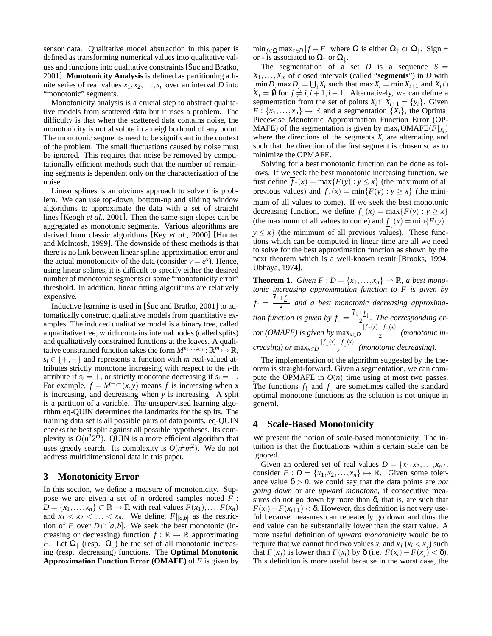sensor data. Qualitative model abstraction in this paper is defined as transforming numerical values into qualitative values and functions into qualitative constraints [Šuc and Bratko, 2001]. **Monotonicity Analysis** is defined as partitioning a finite series of real values  $x_1, x_2, \ldots, x_n$  over an interval *D* into "monotonic" segments.

Monotonicity analysis is a crucial step to abstract qualitative models from scattered data but it rises a problem. The difficulty is that when the scattered data contains noise, the monotonicity is not absolute in a neighborhood of any point. The monotonic segments need to be significant in the context of the problem. The small fluctuations caused by noise must be ignored. This requires that noise be removed by computationally efficient methods such that the number of remaining segments is dependent only on the characterization of the noise.

Linear splines is an obvious approach to solve this problem. We can use top-down, bottom-up and sliding window algorithms to approximate the data with a set of straight lines [Keogh *et al.*, 2001]. Then the same-sign slopes can be aggregated as monotonic segments. Various algorithms are derived from classic algorithms [Key *et al.*, 2000] [Hunter and McIntosh, 1999]. The downside of these methods is that there is no link between linear spline approximation error and the actual monotonicity of the data (consider  $y = e^x$ ). Hence, using linear splines, it is difficult to specify either the desired number of monotonic segments or some "monotonicity error" threshold. In addition, linear fitting algorithms are relatively expensive.

Inductive learning is used in [Šuc and Bratko, 2001] to automatically construct qualitative models from quantitative examples. The induced qualitative model is a binary tree, called a qualitative tree, which contains internal nodes (called splits) and qualitatively constrained functions at the leaves. A qualitative constrained function takes the form  $M^{s_1,...,s_m} : \mathbb{R}^m \mapsto \mathbb{R}$ ,  $s_i \in \{+, -\}$  and represents a function with *m* real-valued attributes strictly monotone increasing with respect to the *i*-th attribute if  $s_i = +$ , or strictly monotone decreasing if  $s_i = -$ . For example,  $f = M^{+,-}(x, y)$  means *f* is increasing when *x* is increasing, and decreasing when *y* is increasing. A split is a partition of a variable. The unsupervised learning algorithm eq-QUIN determines the landmarks for the splits. The training data set is all possible pairs of data points. eq-QUIN checks the best split against all possible hypotheses. Its complexity is  $O(n^2 2^m)$ . QUIN is a more efficient algorithm that uses greedy search. Its complexity is  $O(n^2m^2)$ . We do not address multidimensional data in this paper.

### **3 Monotonicity Error**

In this section, we define a measure of monotonicity. Suppose we are given a set of *n* ordered samples noted *F* :  $D = \{x_1, \ldots, x_n\} \subset \mathbb{R} \to \mathbb{R}$  with real values  $F(x_1), \ldots, F(x_n)$ and  $x_1 < x_2 < \ldots < x_n$ . We define,  $F|_{[a,b]}$  as the restriction of *F* over  $D \cap [a, b]$ . We seek the best monotonic (increasing or decreasing) function  $f : \mathbb{R} \to \mathbb{R}$  approximating *F*. Let  $\Omega$ <sub>↑</sub> (resp.  $\Omega$ <sub>)</sub>) be the set of all monotonic increasing (resp. decreasing) functions. The **Optimal Monotonic Approximation Function Error (OMAFE)** of *F* is given by  $\min_{f \in \Omega} \max_{x \in D} |f - F|$  where  $\Omega$  is either  $\Omega_{\uparrow}$  or  $\Omega_{\downarrow}$ . Sign + or - is associated to  $\Omega_{\uparrow}$  or  $\Omega_{\downarrow}$ .

The segmentation of a set  $D$  is a sequence  $S =$  $X_1, \ldots, X_m$  of closed intervals (called "**segments**") in *D* with  $[\min D, \max D] = \bigcup_i X_i$  such that  $\max X_i = \min X_{i+1}$  and  $X_i \cap$  $X_i = \emptyset$  for  $j \neq i, i + 1, i - 1$ . Alternatively, we can define a segmentation from the set of points  $X_i \cap X_{i+1} = \{y_i\}$ . Given  $F: \{x_1, \ldots, x_n\} \to \mathbb{R}$  and a segmentation  $\{X_i\}$ , the Optimal Piecewise Monotonic Approximation Function Error (OP-MAFE) of the segmentation is given by  $\max_i \text{OMAFE}(F|x_i)$ where the directions of the segments  $X_i$  are alternating and such that the direction of the first segment is chosen so as to minimize the OPMAFE.

Solving for a best monotonic function can be done as follows. If we seek the best monotonic increasing function, we first define  $\overline{f}_\uparrow(x) = \max\{F(y) : y \leq x\}$  (the maximum of all previous values) and  $\underline{f}_\uparrow(x) = \min\{F(y) : y \ge x\}$  (the minimum of all values to come). If we seek the best monotonic decreasing function, we define  $\overline{f}_\downarrow(x) = \max\{F(y) : y \ge x\}$ (the maximum of all values to come) and  $\underline{f}_{\downarrow}(x) = \min\{F(y) :$  $y \leq x$  (the minimum of all previous values). These functions which can be computed in linear time are all we need to solve for the best approximation function as shown by the next theorem which is a well-known result [Brooks, 1994; Ubhaya, 1974].

**Theorem 1.** *Given*  $F: D = \{x_1, \ldots, x_n\} \rightarrow \mathbb{R}$ , *a best monotonic increasing approximation function to F is given by*  $f_{\uparrow} = \frac{\overline{f}_{\uparrow} + f_{\uparrow}}{2}$  and a best monotonic decreasing approxima*tion function is given by*  $f_{\downarrow} = \frac{\overline{f}_{\downarrow} + f_{\downarrow}}{2}$ *. The corresponding error* (*OMAFE*) is given by  $\max_{x \in D} \frac{|\overline{f}_\uparrow(x) - \underline{f}_\uparrow(x)|}{2}$ 2 *(monotonic in* $c$ *reasing*) *or*  $\max_{x \in D} \frac{|\overline{f}_{\downarrow}(x) - \underline{f}_{\downarrow}(x)|}{2}$  $\frac{2}{2}$  (*monotonic decreasing*).

The implementation of the algorithm suggested by the theorem is straight-forward. Given a segmentation, we can compute the OPMAFE in  $O(n)$  time using at most two passes. The functions  $f_{\uparrow}$  and  $f_{\downarrow}$  are sometimes called the standard optimal monotone functions as the solution is not unique in general.

# **4 Scale-Based Monotonicity**

We present the notion of scale-based monotonicity. The intuition is that the fluctuations within a certain scale can be ignored.

Given an ordered set of real values  $D = \{x_1, x_2, \ldots, x_n\}$ , consider  $F: D = \{x_1, x_2, \ldots, x_n\} \mapsto \mathbb{R}$ . Given some tolerance value  $\delta > 0$ , we could say that the data points are *not going down* or are *upward monotone*, if consecutive measures do not go down by more than  $\delta$ , that is, are such that  $F(x_i) - F(x_{i+1}) < \delta$ . However, this definition is not very useful because measures can repeatedly go down and thus the end value can be substantially lower than the start value. A more useful definition of *upward monotonicity* would be to require that we cannot find two values  $x_i$  and  $x_j$  ( $x_i < x_j$ ) such that *F*(*x*<sub>*i*</sub>) is lower than *F*(*x*<sub>*i*</sub>) by  $\delta$  (i.e. *F*(*x*<sub>*i*</sub>) − *F*(*x*<sub>*i*</sub>) <  $\delta$ ). This definition is more useful because in the worst case, the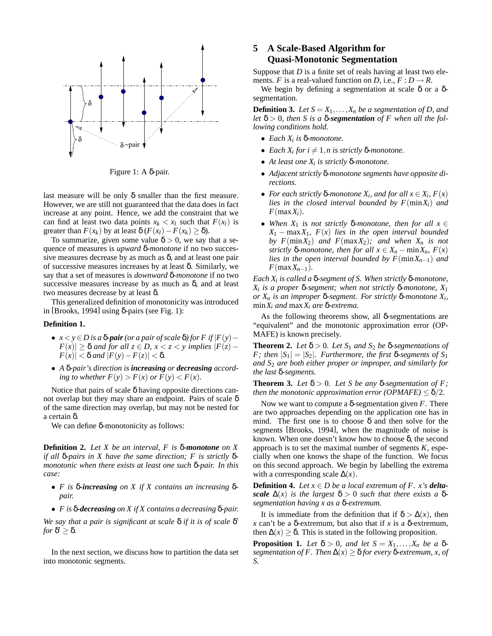

Figure 1: A δ-pair.

last measure will be only  $\delta$  smaller than the first measure. However, we are still not guaranteed that the data does in fact increase at any point. Hence, we add the constraint that we can find at least two data points  $x_k < x_l$  such that  $F(x_l)$  is greater than  $F(x_k)$  by at least  $\delta(F(x_l) - F(x_k) \ge \delta)$ .

To summarize, given some value  $\delta > 0$ , we say that a sequence of measures is *upward* δ*-monotone* if no two successive measures decrease by as much as  $\delta$ , and at least one pair of successive measures increases by at least δ. Similarly, we say that a set of measures is *downward* δ*-monotone* if no two successive measures increase by as much as  $\delta$ , and at least two measures decrease by at least δ.

This generalized definition of monotonicity was introduced in [Brooks, 1994] using δ-pairs (see Fig. 1):

#### **Definition 1.**

- $\bullet$  *x* < *y* ∈ *D* is a **δ**-pair (or a pair of scale **δ**) for *F* if  $|F(y) |F(x)| \geq \delta$  *and for all*  $z \in D$ ,  $x < z < y$  *implies*  $|F(z) |F(x)| < \delta$  *and*  $|F(y) - F(z)| < \delta$ .
- *A* δ*-pair's direction is increasing or decreasing according to whether*  $F(y) > F(x)$  *or*  $F(y) < F(x)$ *.*

Notice that pairs of scale  $\delta$  having opposite directions cannot overlap but they may share an endpoint. Pairs of scale  $\delta$ of the same direction may overlap, but may not be nested for a certain δ.

We can define δ-monotonicity as follows:

**Definition 2.** *Let X be an interval, F is* δ*-monotone on X if all* δ*-pairs in X have the same direction; F is strictly* δ*monotonic when there exists at least one such* δ*-pair. In this case:*

- *F is* δ*-increasing on X if X contains an increasing* δ*pair.*
- *F is* δ*-decreasing on X if X contains a decreasing* δ*-pair.*

*We say that a pair is significant at scale* δ *if it is of scale* δ 0 *for*  $\delta' \geq \delta$ .

In the next section, we discuss how to partition the data set into monotonic segments.

# **5 A Scale-Based Algorithm for Quasi-Monotonic Segmentation**

Suppose that *D* is a finite set of reals having at least two elements. *F* is a real-valued function on *D*, i.e.,  $F : D \to R$ .

We begin by defining a segmentation at scale  $\delta$  or a δsegmentation.

**Definition 3.** *Let*  $S = X_1, \ldots, X_n$  *be a segmentation of D, and* let  $\delta > 0$ , then S is a  $\delta$ -segmentation of F when all the fol*lowing conditions hold.*

- *Each X<sup>i</sup> is* δ*-monotone.*
- *Each*  $X_i$  *for*  $i \neq 1$ *,n* is strictly  $\delta$ *-monotone.*
- *At least one X<sup>i</sup> is strictly* δ*-monotone.*
- *Adjacent strictly* δ*-monotone segments have opposite directions.*
- *For each strictly*  $\delta$ *-monotone*  $X_i$ *, and for all*  $x \in X_i$ *,*  $F(x)$ *lies in the closed interval bounded by F*(min*Xi*) *and*  $F$ (max $X_i$ ).
- When  $X_1$  *is not strictly*  $\delta$ -monotone, then for all  $x \in$  $X_1$  − max $X_1$ *, F(x) lies in the open interval bounded by*  $F(\min X_2)$  *and*  $F(\max X_2)$ *; and when*  $X_n$  *is not strictly*  $\delta$ *-monotone, then for all*  $x \in X_n - \min X_n$ ,  $F(x)$ *lies in the open interval bounded by F*(min*Xn*−1) *and F*(max*Xn*−1)*.*

*Each X<sup>i</sup> is called a* δ*-segment of S. When strictly* δ*-monotone, Xi is a proper* δ*-segment; when not strictly* δ*-monotone, X*<sup>1</sup> *or X<sup>n</sup> is an improper* δ*-segment. For strictly* δ*-monotone X<sup>i</sup> ,* min*X<sup>i</sup> and* max*X<sup>i</sup> are* δ*-extrema.*

As the following theorems show, all  $\delta$ -segmentations are "equivalent" and the monotonic approximation error (OP-MAFE) is known precisely.

**Theorem 2.** Let  $\delta > 0$ . Let  $S_1$  and  $S_2$  be  $\delta$ -segmentations of *F*; then  $|S_1| = |S_2|$ *. Furthermore, the first*  $\delta$ -segments of  $S_1$ *and S*<sup>2</sup> *are both either proper or improper, and similarly for the last* δ*-segments.*

**Theorem 3.** *Let*  $\delta > 0$ *. Let S be any*  $\delta$ -*segmentation of F*; *then the monotonic approximation error (OPMAFE)*  $\leq \delta/2$ *.* 

Now we want to compute a δ-segmentation given *F*. There are two approaches depending on the application one has in mind. The first one is to choose  $\delta$  and then solve for the segments [Brooks, 1994], when the magnitude of noise is known. When one doesn't know how to choose δ, the second approach is to set the maximal number of segments *K*, especially when one knows the shape of the function. We focus on this second approach. We begin by labelling the extrema with a corresponding scale  $\Delta(x)$ .

**Definition 4.** *Let*  $x \in D$  *be a local extremum of F. x's deltascale*  $\Delta(x)$  *is the largest*  $\delta > 0$  *such that there exists a* δ*segmentation having x as a* δ*-extremum.*

It is immediate from the definition that if  $\delta > \Delta(x)$ , then *x* can't be a δ-extremum, but also that if *x* is a δ-extremum, then  $\Delta(x) \geq \delta$ . This is stated in the following proposition.

**Proposition 1.** *Let*  $\delta > 0$ *, and let*  $S = X_1, \ldots, X_n$  *be a*  $\delta$ *segmentation of F. Then*  $\Delta(x) \geq \delta$  *for every*  $\delta$ -*extremum, x, of S.*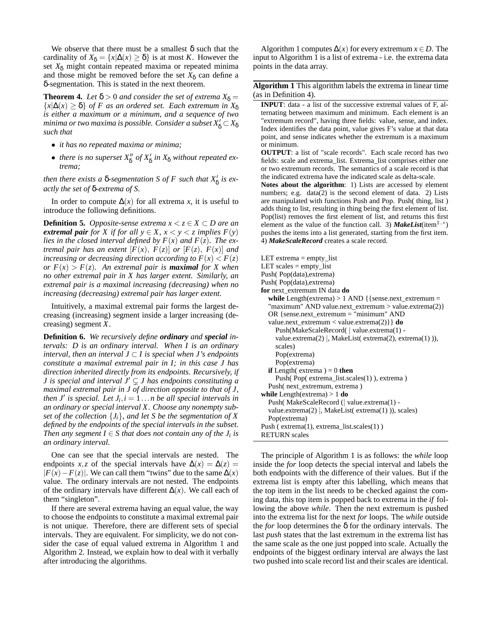We observe that there must be a smallest  $\delta$  such that the cardinality of  $X_{\delta} = \{x | \Delta(x) \ge \delta\}$  is at most *K*. However the set  $X_{\delta}$  might contain repeated maxima or repeated minima and those might be removed before the set  $X_{\delta}$  can define a δ-segmentation. This is stated in the next theorem.

**Theorem 4.** *Let*  $\delta > 0$  *and consider the set of extrema*  $X_{\delta} =$  ${x \mid \Delta(x) \geq \delta}$  *of F as an ordered set. Each extremum in*  $X_{\delta}$ *is either a maximum or a minimum, and a sequence of two* minima or two maxima is possible. Consider a subset  $X_{\delta}^{'}$   $\subset$   $X_{\delta}$ *such that*

- *it has no repeated maxima or minima;*
- *there is no superset*  $X_8''$  *of*  $X_8'$  *in*  $X_8$  *without repeated extrema;*

*then there exists a*  $\delta$ -*segmentation S of F such that*  $X'_{\delta}$  *is exactly the set of* δ*-extrema of S.*

In order to compute  $\Delta(x)$  for all extrema *x*, it is useful to introduce the following definitions.

**Definition 5.** *Opposite-sense extrema*  $x < z \in X \subset D$  are an *extremal pair for X if for all*  $y \in X$ ,  $x < y < z$  *implies*  $F(y)$ *lies in the closed interval defined by*  $F(x)$  *and*  $F(z)$ *. The extremal pair has an extent*  $[F(x), F(z)]$  *or*  $[F(z), F(x)]$  *and increasing or decreasing direction according to*  $F(x) < F(z)$ *or*  $F(x) > F(z)$ *. An extremal pair is maximal for X when no other extremal pair in X has larger extent. Similarly, an extremal pair is a maximal increasing (decreasing) when no increasing (decreasing) extremal pair has larger extent.*

Intuitively, a maximal extremal pair forms the largest decreasing (increasing) segment inside a larger increasing (decreasing) segment *X*.

**Definition 6.** *We recursively define ordinary and special intervals: D is an ordinary interval. When I is an ordinary interval, then an interval*  $J \subset I$  *is special when J's endpoints constitute a maximal extremal pair in I; in this case J has direction inherited directly from its endpoints. Recursively, if J* is special and interval  $J^{\prime} \subsetneq J$  has endpoints constituting a *maximal extremal pair in J of direction opposite to that of J, then J'* is special. Let  $J_i$ ,  $i = 1...n$  be all special intervals in *an ordinary or special interval X. Choose any nonempty subset of the collection* {*Ji*}*, and let S be the segmentation of X defined by the endpoints of the special intervals in the subset. Then any segment*  $I \in S$  *that does not contain any of the*  $J_i$  *is an ordinary interval.*

One can see that the special intervals are nested. The endpoints *x*,*z* of the special intervals have  $\Delta(x) = \Delta(z)$  $|F(x) - F(z)|$ . We can call them "twins" due to the same  $\Delta(x)$ value. The ordinary intervals are not nested. The endpoints of the ordinary intervals have different ∆(*x*). We call each of them "singleton".

If there are several extrema having an equal value, the way to choose the endpoints to constitute a maximal extremal pair is not unique. Therefore, there are different sets of special intervals. They are equivalent. For simplicity, we do not consider the case of equal valued extrema in Algorithm 1 and Algorithm 2. Instead, we explain how to deal with it verbally after introducing the algorithms.

Algorithm 1 computes  $\Delta(x)$  for every extremum  $x \in D$ . The input to Algorithm 1 is a list of extrema - i.e. the extrema data points in the data array.

**Algorithm 1** This algorithm labels the extrema in linear time (as in Definition 4).

**INPUT**: data - a list of the successive extremal values of F, alternating between maximum and minimum. Each element is an "extremum record", having three fields: value, sense, and index. Index identifies the data point, value gives F's value at that data point, and sense indicates whether the extremum is a maximum or minimum.

**OUTPUT**: a list of "scale records". Each scale record has two fields: scale and extrema\_list. Extrema\_list comprises either one or two extremum records. The semantics of a scale record is that the indicated extrema have the indicated scale as delta-scale.

**Notes about the algorithm**: 1) Lists are accessed by element numbers; e.g. data(2) is the second element of data. 2) Lists are manipulated with functions Push and Pop. Push( thing, list) adds thing to list, resulting in thing being the first element of list. Pop(list) removes the first element of list, and returns this first element as the value of the function call. 3) *MakeList*(item<sup>1..\*</sup>) pushes the items into a list generated, starting from the first item. 4) *MakeScaleRecord* creates a scale record.

| LET extrema $=$ empty list                                       |
|------------------------------------------------------------------|
| LET scales $=$ empty list                                        |
| Push(Pop(data), extrema)                                         |
| Push(Pop(data), extrema)                                         |
| <b>for</b> next extremum IN data <b>do</b>                       |
| while Length(extrema) > 1 AND { {sense.next_extremum =           |
| "maximum" AND value.next_extremum > value.extrema(2) }           |
| OR {sense.next_extremum = "minimum" AND                          |
| value.next_extremum < value.extrema(2) } $\{ do$                 |
| Push(MakeScaleRecord(   value.extrema(1) -                       |
| value.extrema $(2)$ , MakeList(extrema $(2)$ , extrema $(1)$ )), |
| scales)                                                          |
| Pop(extrema)                                                     |
| Pop(extrema)                                                     |
| <b>if</b> Length( extrema ) = 0 <b>then</b>                      |
| Push(Pop(extrema_list.scales(1)), extrema)                       |
| Push(next_extremum, extrema)                                     |
| <b>while</b> Length(extrema) $> 1$ do                            |
| Push(MakeScaleRecord (  value.extrema(1) -                       |
| value.extrema $(2)$  , MakeList $(extrema(1))$ , scales)         |
| Pop(extrema)                                                     |
| Push ( $extrema(1)$ , extrema list.scales $(1)$ )                |
| <b>RETURN</b> scales                                             |

The principle of Algorithm 1 is as follows: the *while* loop inside the *for* loop detects the special interval and labels the both endpoints with the difference of their values. But if the extrema list is empty after this labelling, which means that the top item in the list needs to be checked against the coming data, this top item is popped back to extrema in the *if* following the above *while*. Then the next extremum is pushed into the extrema list for the next *for* loops. The *while* outside the *for* loop determines the  $\delta$  for the ordinary intervals. The last *push* states that the last extremum in the extrema list has the same scale as the one just popped into scale. Actually the endpoints of the biggest ordinary interval are always the last two pushed into scale record list and their scales are identical.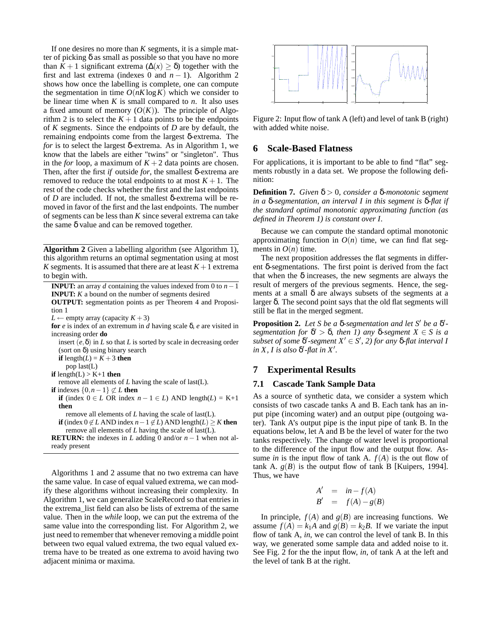If one desires no more than *K* segments, it is a simple matter of picking  $\delta$  as small as possible so that you have no more than *K* + 1 significant extrema ( $\Delta(x) \geq \delta$ ) together with the first and last extrema (indexes 0 and  $n - 1$ ). Algorithm 2 shows how once the labelling is complete, one can compute the segmentation in time  $O(nK \log K)$  which we consider to be linear time when  $K$  is small compared to  $n$ . It also uses a fixed amount of memory  $(O(K))$ . The principle of Algorithm 2 is to select the  $K + 1$  data points to be the endpoints of *K* segments. Since the endpoints of *D* are by default, the remaining endpoints come from the largest δ-extrema. The *for* is to select the largest δ-extrema. As in Algorithm 1, we know that the labels are either "twins" or "singleton". Thus in the *for* loop, a maximum of  $K + 2$  data points are chosen. Then, after the first *if* outside *for*, the smallest δ-extrema are removed to reduce the total endpoints to at most  $K + 1$ . The rest of the code checks whether the first and the last endpoints of *D* are included. If not, the smallest δ-extrema will be removed in favor of the first and the last endpoints. The number of segments can be less than *K* since several extrema can take the same δ value and can be removed together.

**Algorithm 2** Given a labelling algorithm (see Algorithm 1), this algorithm returns an optimal segmentation using at most *K* segments. It is assumed that there are at least  $K+1$  extrema to begin with.

| <b>INPUT:</b> an array d containing the values indexed from 0 to $n - 1$                 |
|------------------------------------------------------------------------------------------|
| <b>INPUT:</b> $K$ a bound on the number of segments desired                              |
| <b>OUTPUT:</b> segmentation points as per Theorem 4 and Proposi-                         |
| tion 1                                                                                   |
| $L \leftarrow$ empty array (capacity $K + 3$ )                                           |
| for $e$ is index of an extremum in $d$ having scale $\delta$ , $e$ are visited in        |
| increasing order <b>do</b>                                                               |
| insert $(e, \delta)$ in L so that L is sorted by scale in decreasing order               |
| (sort on $\delta$ ) using binary search                                                  |
| <b>if</b> length( $L$ ) = $K + 3$ then                                                   |
| pop last( $L$ )                                                                          |
| <b>if</b> length(L) > K+1 <b>then</b>                                                    |
| remove all elements of L having the scale of last( $L$ ).                                |
| <b>if</b> indexes $\{0, n-1\} \not\subset L$ then                                        |
| if (index $0 \in L$ OR index $n - 1 \in L$ ) AND length(L) = K+1                         |
| then                                                                                     |
| remove all elements of $L$ having the scale of last( $L$ ).                              |
| <b>if</b> (index $0 \notin L$ AND index $n-1 \notin L$ ) AND length( $L$ ) $\geq K$ then |
| remove all elements of L having the scale of last( $L$ ).                                |
| <b>RETURN:</b> the indexes in L adding 0 and/or $n-1$ when not al-                       |
| ready present                                                                            |
|                                                                                          |

Algorithms 1 and 2 assume that no two extrema can have the same value. In case of equal valued extrema, we can modify these algorithms without increasing their complexity. In Algorithm 1, we can generalize ScaleRecord so that entries in the extrema\_list field can also be lists of extrema of the same value. Then in the *while* loop, we can put the extrema of the same value into the corresponding list. For Algorithm 2, we just need to remember that whenever removing a middle point between two equal valued extrema, the two equal valued extrema have to be treated as one extrema to avoid having two adjacent minima or maxima.



Figure 2: Input flow of tank A (left) and level of tank B (right) with added white noise.

# **6 Scale-Based Flatness**

For applications, it is important to be able to find "flat" segments robustly in a data set. We propose the following definition:

**Definition 7.** *Given* δ > 0*, consider a* δ*-monotonic segment in a* δ*-segmentation, an interval I in this segment is* δ*-flat if the standard optimal monotonic approximating function (as defined in Theorem 1) is constant over I.*

Because we can compute the standard optimal monotonic approximating function in  $O(n)$  time, we can find flat segments in  $O(n)$  time.

The next proposition addresses the flat segments in different δ-segmentations. The first point is derived from the fact that when the  $\delta$  increases, the new segments are always the result of mergers of the previous segments. Hence, the segments at a small δ are always subsets of the segments at a larger δ. The second point says that the old flat segments will still be flat in the merged segment.

**Proposition 2.** Let *S* be a δ-segmentation and let *S'* be a δ'*segmentation for*  $\delta' > \delta$ , then *I*) any  $\delta$ -segment *X*  $\in$  *S* is a  $subset of some \delta'$ -segment  $X' \in S'$ , 2) for any  $\delta$ -flat interval *I*  $in X$ , *I* is also  $\delta'$ -flat in  $X'$ .

# **7 Experimental Results**

### **7.1 Cascade Tank Sample Data**

As a source of synthetic data, we consider a system which consists of two cascade tanks A and B. Each tank has an input pipe (incoming water) and an output pipe (outgoing water). Tank A's output pipe is the input pipe of tank B. In the equations below, let A and B be the level of water for the two tanks respectively. The change of water level is proportional to the difference of the input flow and the output flow. Assume *in* is the input flow of tank A.  $f(A)$  is the out flow of tank A.  $g(B)$  is the output flow of tank B [Kuipers, 1994]. Thus, we have

$$
A' = in - f(A)
$$
  

$$
B' = f(A) - g(B)
$$

In principle,  $f(A)$  and  $g(B)$  are increasing functions. We assume  $f(A) = k_1 A$  and  $g(B) = k_2 B$ . If we variate the input flow of tank A, *in*, we can control the level of tank B. In this way, we generated some sample data and added noise to it. See Fig. 2 for the the input flow, *in*, of tank A at the left and the level of tank B at the right.